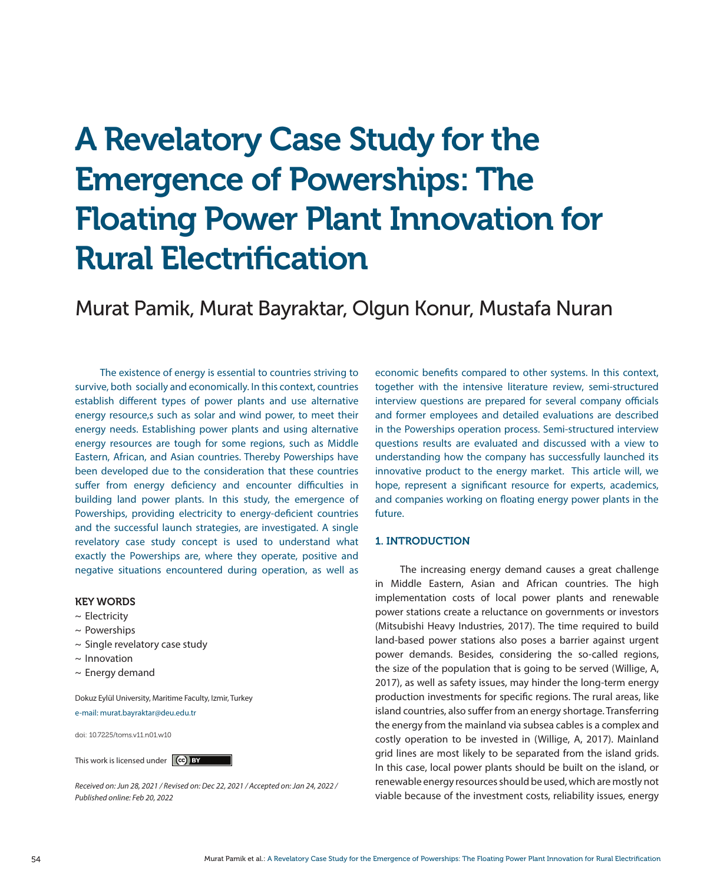# A Revelatory Case Study for the Emergence of Powerships: The Floating Power Plant Innovation for Rural Electrification

Murat Pamik, Murat Bayraktar, Olgun Konur, Mustafa Nuran

The existence of energy is essential to countries striving to survive, both socially and economically. In this context, countries establish different types of power plants and use alternative energy resource,s such as solar and wind power, to meet their energy needs. Establishing power plants and using alternative energy resources are tough for some regions, such as Middle Eastern, African, and Asian countries. Thereby Powerships have been developed due to the consideration that these countries suffer from energy deficiency and encounter difficulties in building land power plants. In this study, the emergence of Powerships, providing electricity to energy-deficient countries and the successful launch strategies, are investigated. A single revelatory case study concept is used to understand what exactly the Powerships are, where they operate, positive and negative situations encountered during operation, as well as

#### KEY WORDS

- $\sim$  Electricity
- $\sim$  Powerships
- $\sim$  Single revelatory case study
- $\sim$  Innovation
- $\sim$  Energy demand

Dokuz Eylül University, Maritime Faculty, Izmir, Turkey

e-mail: murat.bayraktar@deu.edu.tr

doi: 10.7225/toms.v11.n01.w10

This work is licensed under (cc) BY

*Received on: Jun 28, 2021 / Revised on: Dec 22, 2021 / Accepted on: Jan 24, 2022 / Published online: Feb 20, 2022*

economic benefits compared to other systems. In this context, together with the intensive literature review, semi-structured interview questions are prepared for several company officials and former employees and detailed evaluations are described in the Powerships operation process. Semi-structured interview questions results are evaluated and discussed with a view to understanding how the company has successfully launched its innovative product to the energy market. This article will, we hope, represent a significant resource for experts, academics, and companies working on floating energy power plants in the future.

# 1. INTRODUCTION

The increasing energy demand causes a great challenge in Middle Eastern, Asian and African countries. The high implementation costs of local power plants and renewable power stations create a reluctance on governments or investors (Mitsubishi Heavy Industries, 2017). The time required to build land-based power stations also poses a barrier against urgent power demands. Besides, considering the so-called regions, the size of the population that is going to be served (Willige, A, 2017), as well as safety issues, may hinder the long-term energy production investments for specific regions. The rural areas, like island countries, also suffer from an energy shortage. Transferring the energy from the mainland via subsea cables is a complex and costly operation to be invested in (Willige, A, 2017). Mainland grid lines are most likely to be separated from the island grids. In this case, local power plants should be built on the island, or renewable energy resources should be used, which are mostly not viable because of the investment costs, reliability issues, energy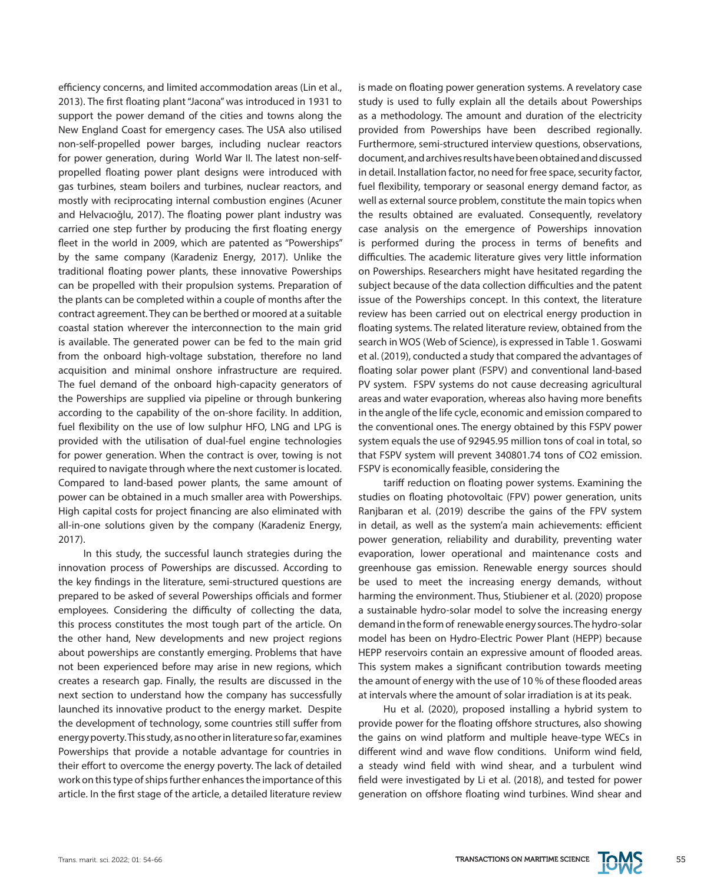efficiency concerns, and limited accommodation areas (Lin et al., 2013). The first floating plant "Jacona" was introduced in 1931 to support the power demand of the cities and towns along the New England Coast for emergency cases. The USA also utilised non-self-propelled power barges, including nuclear reactors for power generation, during World War II. The latest non-selfpropelled floating power plant designs were introduced with gas turbines, steam boilers and turbines, nuclear reactors, and mostly with reciprocating internal combustion engines (Acuner and Helvacıoğlu, 2017). The floating power plant industry was carried one step further by producing the first floating energy fleet in the world in 2009, which are patented as "Powerships" by the same company (Karadeniz Energy, 2017). Unlike the traditional floating power plants, these innovative Powerships can be propelled with their propulsion systems. Preparation of the plants can be completed within a couple of months after the contract agreement. They can be berthed or moored at a suitable coastal station wherever the interconnection to the main grid is available. The generated power can be fed to the main grid from the onboard high-voltage substation, therefore no land acquisition and minimal onshore infrastructure are required. The fuel demand of the onboard high-capacity generators of the Powerships are supplied via pipeline or through bunkering according to the capability of the on-shore facility. In addition, fuel flexibility on the use of low sulphur HFO, LNG and LPG is provided with the utilisation of dual-fuel engine technologies for power generation. When the contract is over, towing is not required to navigate through where the next customer is located. Compared to land-based power plants, the same amount of power can be obtained in a much smaller area with Powerships. High capital costs for project financing are also eliminated with all-in-one solutions given by the company (Karadeniz Energy, 2017).

In this study, the successful launch strategies during the innovation process of Powerships are discussed. According to the key findings in the literature, semi-structured questions are prepared to be asked of several Powerships officials and former employees. Considering the difficulty of collecting the data, this process constitutes the most tough part of the article. On the other hand, New developments and new project regions about powerships are constantly emerging. Problems that have not been experienced before may arise in new regions, which creates a research gap. Finally, the results are discussed in the next section to understand how the company has successfully launched its innovative product to the energy market. Despite the development of technology, some countries still suffer from energy poverty. This study, as no other in literature so far, examines Powerships that provide a notable advantage for countries in their effort to overcome the energy poverty. The lack of detailed work on this type of ships further enhances the importance of this article. In the first stage of the article, a detailed literature review is made on floating power generation systems. A revelatory case study is used to fully explain all the details about Powerships as a methodology. The amount and duration of the electricity provided from Powerships have been described regionally. Furthermore, semi-structured interview questions, observations, document, and archives results have been obtained and discussed in detail. Installation factor, no need for free space, security factor, fuel flexibility, temporary or seasonal energy demand factor, as well as external source problem, constitute the main topics when the results obtained are evaluated. Consequently, revelatory case analysis on the emergence of Powerships innovation is performed during the process in terms of benefits and difficulties. The academic literature gives very little information on Powerships. Researchers might have hesitated regarding the subject because of the data collection difficulties and the patent issue of the Powerships concept. In this context, the literature review has been carried out on electrical energy production in floating systems. The related literature review, obtained from the search in WOS (Web of Science), is expressed in Table 1. Goswami et al. (2019), conducted a study that compared the advantages of floating solar power plant (FSPV) and conventional land-based PV system. FSPV systems do not cause decreasing agricultural areas and water evaporation, whereas also having more benefits in the angle of the life cycle, economic and emission compared to the conventional ones. The energy obtained by this FSPV power system equals the use of 92945.95 million tons of coal in total, so that FSPV system will prevent 340801.74 tons of CO2 emission. FSPV is economically feasible, considering the

tariff reduction on floating power systems. Examining the studies on floating photovoltaic (FPV) power generation, units Ranjbaran et al. (2019) describe the gains of the FPV system in detail, as well as the system'a main achievements: efficient power generation, reliability and durability, preventing water evaporation, lower operational and maintenance costs and greenhouse gas emission. Renewable energy sources should be used to meet the increasing energy demands, without harming the environment. Thus, Stiubiener et al. (2020) propose a sustainable hydro-solar model to solve the increasing energy demand in the form of renewable energy sources. The hydro-solar model has been on Hydro-Electric Power Plant (HEPP) because HEPP reservoirs contain an expressive amount of flooded areas. This system makes a significant contribution towards meeting the amount of energy with the use of 10 % of these flooded areas at intervals where the amount of solar irradiation is at its peak.

Hu et al. (2020), proposed installing a hybrid system to provide power for the floating offshore structures, also showing the gains on wind platform and multiple heave-type WECs in different wind and wave flow conditions. Uniform wind field, a steady wind field with wind shear, and a turbulent wind field were investigated by Li et al. (2018), and tested for power generation on offshore floating wind turbines. Wind shear and

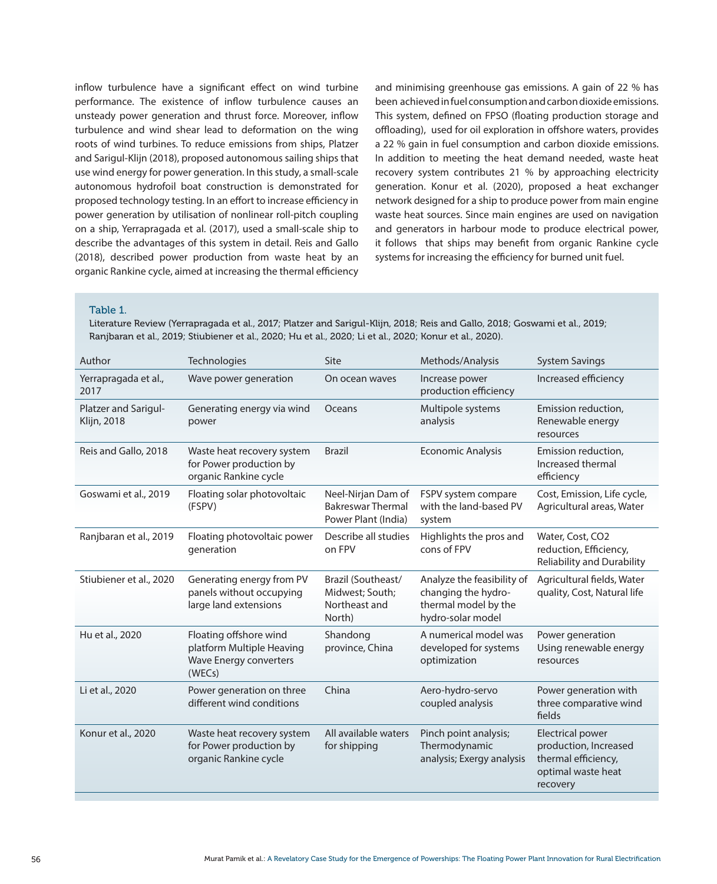inflow turbulence have a significant effect on wind turbine performance. The existence of inflow turbulence causes an unsteady power generation and thrust force. Moreover, inflow turbulence and wind shear lead to deformation on the wing roots of wind turbines. To reduce emissions from ships, Platzer and Sarigul-Klijn (2018), proposed autonomous sailing ships that use wind energy for power generation. In this study, a small-scale autonomous hydrofoil boat construction is demonstrated for proposed technology testing. In an effort to increase efficiency in power generation by utilisation of nonlinear roll-pitch coupling on a ship, Yerrapragada et al. (2017), used a small-scale ship to describe the advantages of this system in detail. Reis and Gallo (2018), described power production from waste heat by an organic Rankine cycle, aimed at increasing the thermal efficiency and minimising greenhouse gas emissions. A gain of 22 % has been achieved in fuel consumption and carbon dioxide emissions. This system, defined on FPSO (floating production storage and offloading), used for oil exploration in offshore waters, provides a 22 % gain in fuel consumption and carbon dioxide emissions. In addition to meeting the heat demand needed, waste heat recovery system contributes 21 % by approaching electricity generation. Konur et al. (2020), proposed a heat exchanger network designed for a ship to produce power from main engine waste heat sources. Since main engines are used on navigation and generators in harbour mode to produce electrical power, it follows that ships may benefit from organic Rankine cycle systems for increasing the efficiency for burned unit fuel.

#### Table 1.

Literature Review (Yerrapragada et al., 2017; Platzer and Sarigul-Klijn, 2018; Reis and Gallo, 2018; Goswami et al., 2019; Ranjbaran et al., 2019; Stiubiener et al., 2020; Hu et al., 2020; Li et al., 2020; Konur et al., 2020).

| Author                              | Technologies                                                                                   | Site                                                                  | Methods/Analysis                                                                               | <b>System Savings</b>                                                                                     |
|-------------------------------------|------------------------------------------------------------------------------------------------|-----------------------------------------------------------------------|------------------------------------------------------------------------------------------------|-----------------------------------------------------------------------------------------------------------|
| Yerrapragada et al.,<br>2017        | Wave power generation                                                                          | On ocean waves                                                        | Increase power<br>production efficiency                                                        | Increased efficiency                                                                                      |
| Platzer and Sarigul-<br>Klijn, 2018 | Generating energy via wind<br>power                                                            | Oceans                                                                | Multipole systems<br>analysis                                                                  | Emission reduction,<br>Renewable energy<br>resources                                                      |
| Reis and Gallo, 2018                | Waste heat recovery system<br>for Power production by<br>organic Rankine cycle                 | <b>Brazil</b>                                                         | <b>Economic Analysis</b>                                                                       | Emission reduction,<br>Increased thermal<br>efficiency                                                    |
| Goswami et al., 2019                | Floating solar photovoltaic<br>(FSPV)                                                          | Neel-Nirjan Dam of<br><b>Bakreswar Thermal</b><br>Power Plant (India) | FSPV system compare<br>with the land-based PV<br>system                                        | Cost, Emission, Life cycle,<br>Agricultural areas, Water                                                  |
| Ranjbaran et al., 2019              | Floating photovoltaic power<br>generation                                                      | Describe all studies<br>on FPV                                        | Highlights the pros and<br>cons of FPV                                                         | Water, Cost, CO2<br>reduction, Efficiency,<br><b>Reliability and Durability</b>                           |
| Stiubiener et al., 2020             | Generating energy from PV<br>panels without occupying<br>large land extensions                 | Brazil (Southeast/<br>Midwest; South;<br>Northeast and<br>North)      | Analyze the feasibility of<br>changing the hydro-<br>thermal model by the<br>hydro-solar model | Agricultural fields, Water<br>quality, Cost, Natural life                                                 |
| Hu et al., 2020                     | Floating offshore wind<br>platform Multiple Heaving<br><b>Wave Energy converters</b><br>(WECs) | Shandong<br>province, China                                           | A numerical model was<br>developed for systems<br>optimization                                 | Power generation<br>Using renewable energy<br>resources                                                   |
| Li et al., 2020                     | Power generation on three<br>different wind conditions                                         | China                                                                 | Aero-hydro-servo<br>coupled analysis                                                           | Power generation with<br>three comparative wind<br>fields                                                 |
| Konur et al., 2020                  | Waste heat recovery system<br>for Power production by<br>organic Rankine cycle                 |                                                                       | Pinch point analysis;<br>Thermodynamic<br>analysis; Exergy analysis                            | <b>Electrical power</b><br>production, Increased<br>thermal efficiency,<br>optimal waste heat<br>recovery |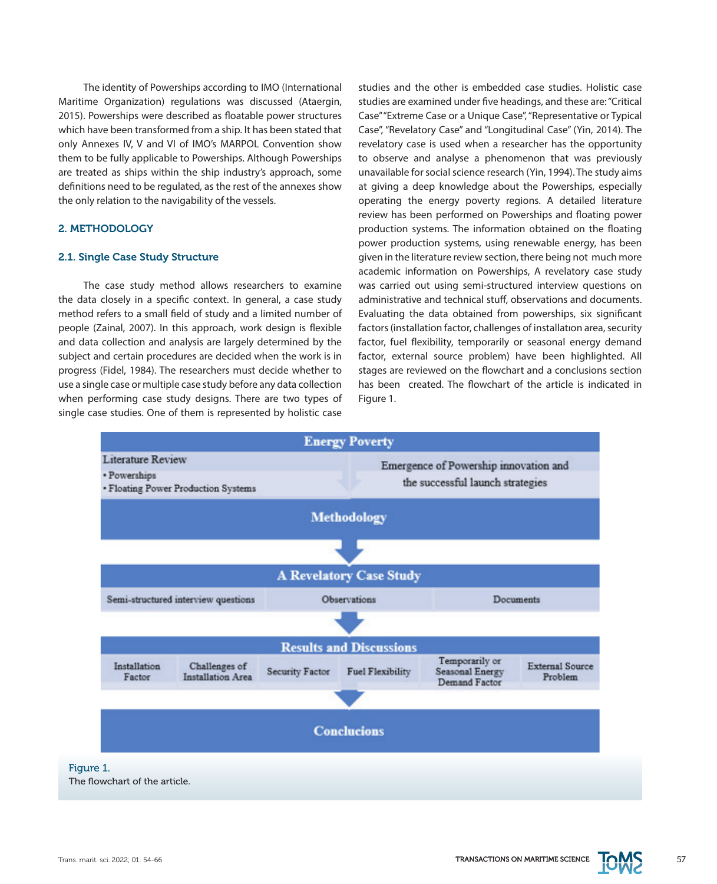The identity of Powerships according to IMO (International Maritime Organization) regulations was discussed (Ataergin, 2015). Powerships were described as floatable power structures which have been transformed from a ship. It has been stated that only Annexes IV, V and VI of IMO's MARPOL Convention show them to be fully applicable to Powerships. Although Powerships are treated as ships within the ship industry's approach, some definitions need to be regulated, as the rest of the annexes show the only relation to the navigability of the vessels.

# 2. METHODOLOGY

## 2.1. Single Case Study Structure

The case study method allows researchers to examine the data closely in a specific context. In general, a case study method refers to a small field of study and a limited number of people (Zainal, 2007). In this approach, work design is flexible and data collection and analysis are largely determined by the subject and certain procedures are decided when the work is in progress (Fidel, 1984). The researchers must decide whether to use a single case or multiple case study before any data collection when performing case study designs. There are two types of single case studies. One of them is represented by holistic case

studies and the other is embedded case studies. Holistic case studies are examined under five headings, and these are: "Critical Case" "Extreme Case or a Unique Case", "Representative or Typical Case", "Revelatory Case" and "Longitudinal Case" (Yin, 2014). The revelatory case is used when a researcher has the opportunity to observe and analyse a phenomenon that was previously unavailable for social science research (Yin, 1994). The study aims at giving a deep knowledge about the Powerships, especially operating the energy poverty regions. A detailed literature review has been performed on Powerships and floating power production systems. The information obtained on the floating power production systems, using renewable energy, has been given in the literature review section, there being not much more academic information on Powerships, A revelatory case study was carried out using semi-structured interview questions on administrative and technical stuff, observations and documents. Evaluating the data obtained from powerships, six significant factors (installation factor, challenges of installatıon area, security factor, fuel flexibility, temporarily or seasonal energy demand factor, external source problem) have been highlighted. All stages are reviewed on the flowchart and a conclusions section has been created. The flowchart of the article is indicated in Figure 1.



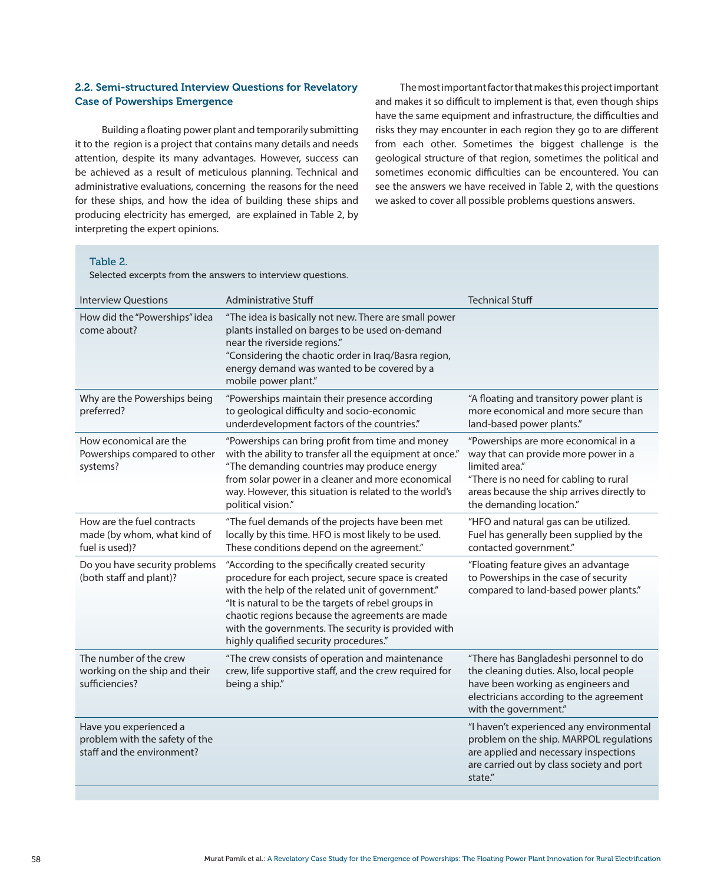# 2.2. Semi-structured Interview Questions for Revelatory Case of Powerships Emergence

 Building a floating power plant and temporarily submitting it to the region is a project that contains many details and needs attention, despite its many advantages. However, success can be achieved as a result of meticulous planning. Technical and administrative evaluations, concerning the reasons for the need for these ships, and how the idea of building these ships and producing electricity has emerged, are explained in Table 2, by interpreting the expert opinions.

The most important factor that makes this project important and makes it so difficult to implement is that, even though ships have the same equipment and infrastructure, the difficulties and risks they may encounter in each region they go to are different from each other. Sometimes the biggest challenge is the geological structure of that region, sometimes the political and sometimes economic difficulties can be encountered. You can see the answers we have received in Table 2, with the questions we asked to cover all possible problems questions answers.

#### Table 2.

Selected excerpts from the answers to interview questions.

| <b>Interview Questions</b>                                                             | <b>Administrative Stuff</b>                                                                                                                                                                                                                                                                                                                                            | <b>Technical Stuff</b>                                                                                                                                                                                             |
|----------------------------------------------------------------------------------------|------------------------------------------------------------------------------------------------------------------------------------------------------------------------------------------------------------------------------------------------------------------------------------------------------------------------------------------------------------------------|--------------------------------------------------------------------------------------------------------------------------------------------------------------------------------------------------------------------|
| How did the "Powerships" idea<br>come about?                                           | "The idea is basically not new. There are small power<br>plants installed on barges to be used on-demand<br>near the riverside regions."<br>"Considering the chaotic order in Iraq/Basra region,<br>energy demand was wanted to be covered by a<br>mobile power plant."                                                                                                |                                                                                                                                                                                                                    |
| Why are the Powerships being<br>preferred?                                             | "Powerships maintain their presence according<br>to geological difficulty and socio-economic<br>underdevelopment factors of the countries."                                                                                                                                                                                                                            | "A floating and transitory power plant is<br>more economical and more secure than<br>land-based power plants."                                                                                                     |
| How economical are the<br>Powerships compared to other<br>systems?                     | "Powerships can bring profit from time and money<br>with the ability to transfer all the equipment at once."<br>"The demanding countries may produce energy<br>from solar power in a cleaner and more economical<br>way. However, this situation is related to the world's<br>political vision."                                                                       | "Powerships are more economical in a<br>way that can provide more power in a<br>limited area."<br>"There is no need for cabling to rural<br>areas because the ship arrives directly to<br>the demanding location." |
| How are the fuel contracts<br>made (by whom, what kind of<br>fuel is used)?            | "The fuel demands of the projects have been met<br>locally by this time. HFO is most likely to be used.<br>These conditions depend on the agreement."                                                                                                                                                                                                                  | "HFO and natural gas can be utilized.<br>Fuel has generally been supplied by the<br>contacted government."                                                                                                         |
| Do you have security problems<br>(both staff and plant)?                               | "According to the specifically created security<br>procedure for each project, secure space is created<br>with the help of the related unit of government."<br>"It is natural to be the targets of rebel groups in<br>chaotic regions because the agreements are made<br>with the governments. The security is provided with<br>highly qualified security procedures." | "Floating feature gives an advantage<br>to Powerships in the case of security<br>compared to land-based power plants."                                                                                             |
| The number of the crew<br>working on the ship and their<br>sufficiencies?              | "The crew consists of operation and maintenance<br>crew, life supportive staff, and the crew required for<br>being a ship."                                                                                                                                                                                                                                            | "There has Bangladeshi personnel to do<br>the cleaning duties. Also, local people<br>have been working as engineers and<br>electricians according to the agreement<br>with the government."                        |
| Have you experienced a<br>problem with the safety of the<br>staff and the environment? |                                                                                                                                                                                                                                                                                                                                                                        | "I haven't experienced any environmental<br>problem on the ship. MARPOL regulations<br>are applied and necessary inspections<br>are carried out by class society and port<br>state."                               |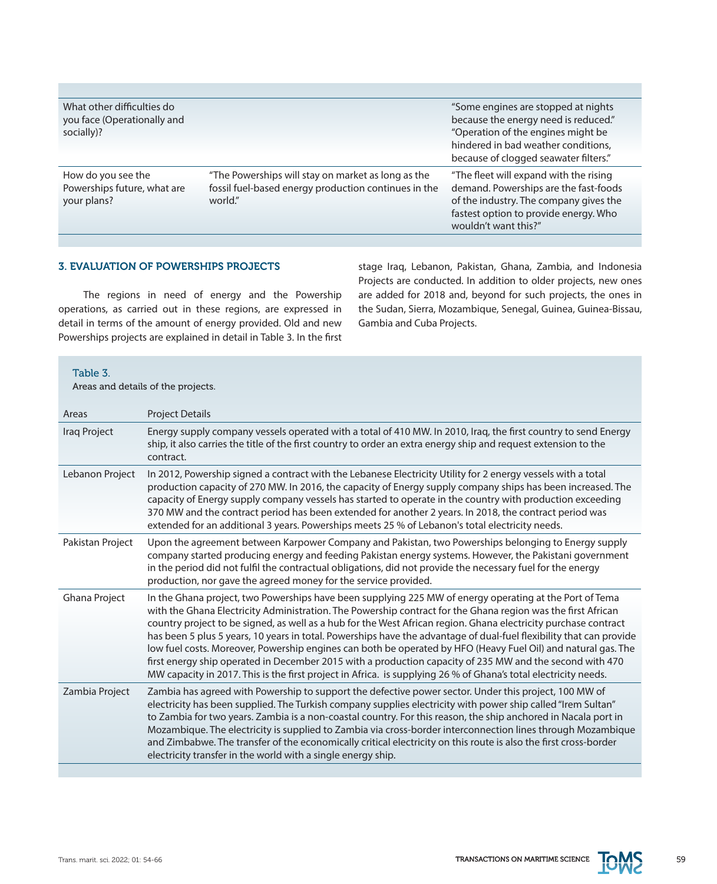| What other difficulties do<br>you face (Operationally and<br>socially)? |                                                                                                                       | "Some engines are stopped at nights<br>because the energy need is reduced."<br>"Operation of the engines might be<br>hindered in bad weather conditions,<br>because of clogged seawater filters." |
|-------------------------------------------------------------------------|-----------------------------------------------------------------------------------------------------------------------|---------------------------------------------------------------------------------------------------------------------------------------------------------------------------------------------------|
| How do you see the<br>Powerships future, what are<br>your plans?        | "The Powerships will stay on market as long as the<br>fossil fuel-based energy production continues in the<br>world." | "The fleet will expand with the rising<br>demand. Powerships are the fast-foods<br>of the industry. The company gives the<br>fastest option to provide energy. Who<br>wouldn't want this?"        |

## 3. EVALUATION OF POWERSHIPS PROJECTS

The regions in need of energy and the Powership operations, as carried out in these regions, are expressed in detail in terms of the amount of energy provided. Old and new Powerships projects are explained in detail in Table 3. In the first stage Iraq, Lebanon, Pakistan, Ghana, Zambia, and Indonesia Projects are conducted. In addition to older projects, new ones are added for 2018 and, beyond for such projects, the ones in the Sudan, Sierra, Mozambique, Senegal, Guinea, Guinea-Bissau, Gambia and Cuba Projects.

Table 3.

Areas and details of the projects.

| Areas            | <b>Project Details</b>                                                                                                                                                                                                                                                                                                                                                                                                                                                                                                                                                                                                                                                                                                                                                                                            |
|------------------|-------------------------------------------------------------------------------------------------------------------------------------------------------------------------------------------------------------------------------------------------------------------------------------------------------------------------------------------------------------------------------------------------------------------------------------------------------------------------------------------------------------------------------------------------------------------------------------------------------------------------------------------------------------------------------------------------------------------------------------------------------------------------------------------------------------------|
| Iraq Project     | Energy supply company vessels operated with a total of 410 MW. In 2010, Iraq, the first country to send Energy<br>ship, it also carries the title of the first country to order an extra energy ship and request extension to the<br>contract.                                                                                                                                                                                                                                                                                                                                                                                                                                                                                                                                                                    |
| Lebanon Project  | In 2012, Powership signed a contract with the Lebanese Electricity Utility for 2 energy vessels with a total<br>production capacity of 270 MW. In 2016, the capacity of Energy supply company ships has been increased. The<br>capacity of Energy supply company vessels has started to operate in the country with production exceeding<br>370 MW and the contract period has been extended for another 2 years. In 2018, the contract period was<br>extended for an additional 3 years. Powerships meets 25 % of Lebanon's total electricity needs.                                                                                                                                                                                                                                                             |
| Pakistan Project | Upon the agreement between Karpower Company and Pakistan, two Powerships belonging to Energy supply<br>company started producing energy and feeding Pakistan energy systems. However, the Pakistani government<br>in the period did not fulfil the contractual obligations, did not provide the necessary fuel for the energy<br>production, nor gave the agreed money for the service provided.                                                                                                                                                                                                                                                                                                                                                                                                                  |
| Ghana Project    | In the Ghana project, two Powerships have been supplying 225 MW of energy operating at the Port of Tema<br>with the Ghana Electricity Administration. The Powership contract for the Ghana region was the first African<br>country project to be signed, as well as a hub for the West African region. Ghana electricity purchase contract<br>has been 5 plus 5 years, 10 years in total. Powerships have the advantage of dual-fuel flexibility that can provide<br>low fuel costs. Moreover, Powership engines can both be operated by HFO (Heavy Fuel Oil) and natural gas. The<br>first energy ship operated in December 2015 with a production capacity of 235 MW and the second with 470<br>MW capacity in 2017. This is the first project in Africa. is supplying 26 % of Ghana's total electricity needs. |
| Zambia Project   | Zambia has agreed with Powership to support the defective power sector. Under this project, 100 MW of<br>electricity has been supplied. The Turkish company supplies electricity with power ship called "Irem Sultan"<br>to Zambia for two years. Zambia is a non-coastal country. For this reason, the ship anchored in Nacala port in<br>Mozambique. The electricity is supplied to Zambia via cross-border interconnection lines through Mozambique<br>and Zimbabwe. The transfer of the economically critical electricity on this route is also the first cross-border<br>electricity transfer in the world with a single energy ship.                                                                                                                                                                        |

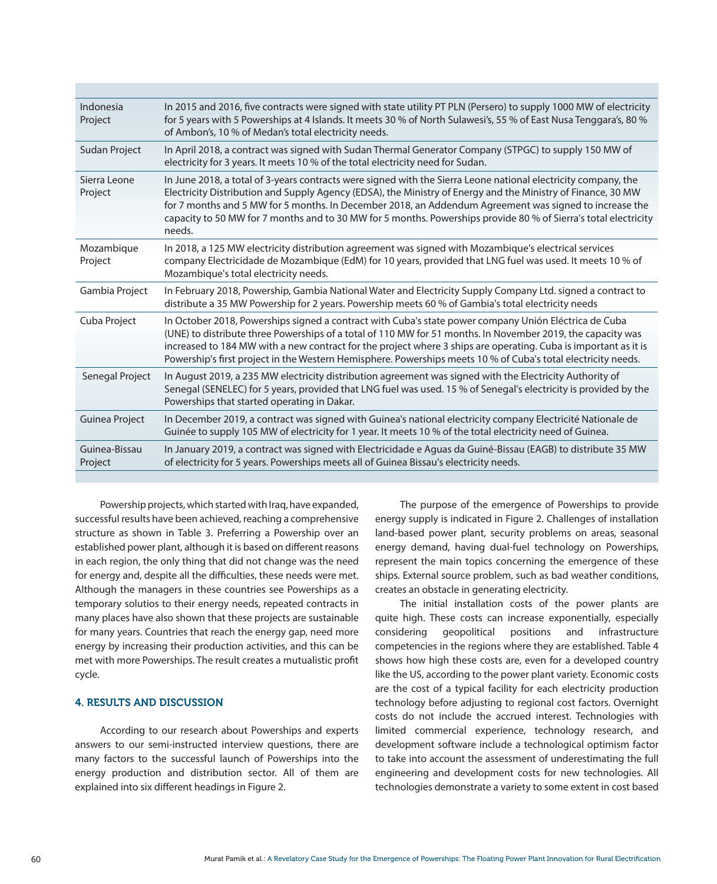| Indonesia<br>Project     | In 2015 and 2016, five contracts were signed with state utility PT PLN (Persero) to supply 1000 MW of electricity<br>for 5 years with 5 Powerships at 4 Islands. It meets 30 % of North Sulawesi's, 55 % of East Nusa Tenggara's, 80 %<br>of Ambon's, 10 % of Medan's total electricity needs.                                                                                                                                                                        |
|--------------------------|-----------------------------------------------------------------------------------------------------------------------------------------------------------------------------------------------------------------------------------------------------------------------------------------------------------------------------------------------------------------------------------------------------------------------------------------------------------------------|
| <b>Sudan Project</b>     | In April 2018, a contract was signed with Sudan Thermal Generator Company (STPGC) to supply 150 MW of<br>electricity for 3 years. It meets 10 % of the total electricity need for Sudan.                                                                                                                                                                                                                                                                              |
| Sierra Leone<br>Project  | In June 2018, a total of 3-years contracts were signed with the Sierra Leone national electricity company, the<br>Electricity Distribution and Supply Agency (EDSA), the Ministry of Energy and the Ministry of Finance, 30 MW<br>for 7 months and 5 MW for 5 months. In December 2018, an Addendum Agreement was signed to increase the<br>capacity to 50 MW for 7 months and to 30 MW for 5 months. Powerships provide 80 % of Sierra's total electricity<br>needs. |
| Mozambique<br>Project    | In 2018, a 125 MW electricity distribution agreement was signed with Mozambique's electrical services<br>company Electricidade de Mozambique (EdM) for 10 years, provided that LNG fuel was used. It meets 10 % of<br>Mozambique's total electricity needs.                                                                                                                                                                                                           |
| Gambia Project           | In February 2018, Powership, Gambia National Water and Electricity Supply Company Ltd. signed a contract to<br>distribute a 35 MW Powership for 2 years. Powership meets 60 % of Gambia's total electricity needs                                                                                                                                                                                                                                                     |
| Cuba Project             | In October 2018, Powerships signed a contract with Cuba's state power company Unión Eléctrica de Cuba<br>(UNE) to distribute three Powerships of a total of 110 MW for 51 months. In November 2019, the capacity was<br>increased to 184 MW with a new contract for the project where 3 ships are operating. Cuba is important as it is<br>Powership's first project in the Western Hemisphere. Powerships meets 10 % of Cuba's total electricity needs.              |
| Senegal Project          | In August 2019, a 235 MW electricity distribution agreement was signed with the Electricity Authority of<br>Senegal (SENELEC) for 5 years, provided that LNG fuel was used. 15 % of Senegal's electricity is provided by the<br>Powerships that started operating in Dakar.                                                                                                                                                                                           |
| Guinea Project           | In December 2019, a contract was signed with Guinea's national electricity company Electricité Nationale de<br>Guinée to supply 105 MW of electricity for 1 year. It meets 10 % of the total electricity need of Guinea.                                                                                                                                                                                                                                              |
| Guinea-Bissau<br>Project | In January 2019, a contract was signed with Electricidade e Aguas da Guiné-Bissau (EAGB) to distribute 35 MW<br>of electricity for 5 years. Powerships meets all of Guinea Bissau's electricity needs.                                                                                                                                                                                                                                                                |
|                          |                                                                                                                                                                                                                                                                                                                                                                                                                                                                       |

Powership projects, which started with Iraq, have expanded, successful results have been achieved, reaching a comprehensive structure as shown in Table 3. Preferring a Powership over an established power plant, although it is based on different reasons in each region, the only thing that did not change was the need for energy and, despite all the difficulties, these needs were met. Although the managers in these countries see Powerships as a temporary solutios to their energy needs, repeated contracts in many places have also shown that these projects are sustainable for many years. Countries that reach the energy gap, need more energy by increasing their production activities, and this can be met with more Powerships. The result creates a mutualistic profit cycle.

## 4. RESULTS AND DISCUSSION

According to our research about Powerships and experts answers to our semi-instructed interview questions, there are many factors to the successful launch of Powerships into the energy production and distribution sector. All of them are explained into six different headings in Figure 2.

The purpose of the emergence of Powerships to provide energy supply is indicated in Figure 2. Challenges of installation land-based power plant, security problems on areas, seasonal energy demand, having dual-fuel technology on Powerships, represent the main topics concerning the emergence of these ships. External source problem, such as bad weather conditions, creates an obstacle in generating electricity.

The initial installation costs of the power plants are quite high. These costs can increase exponentially, especially considering geopolitical positions and infrastructure competencies in the regions where they are established. Table 4 shows how high these costs are, even for a developed country like the US, according to the power plant variety. Economic costs are the cost of a typical facility for each electricity production technology before adjusting to regional cost factors. Overnight costs do not include the accrued interest. Technologies with limited commercial experience, technology research, and development software include a technological optimism factor to take into account the assessment of underestimating the full engineering and development costs for new technologies. All technologies demonstrate a variety to some extent in cost based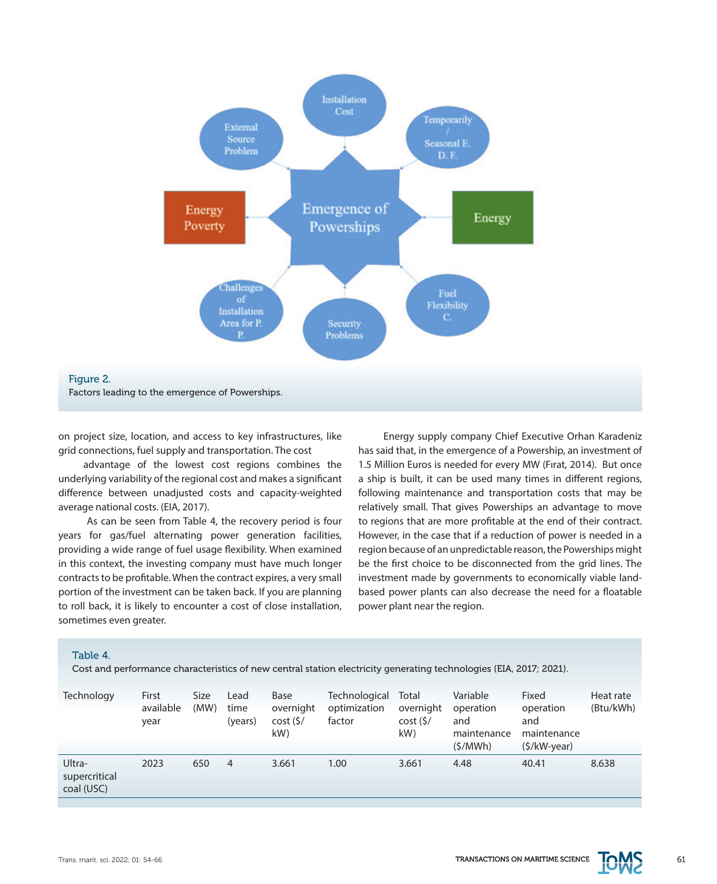

on project size, location, and access to key infrastructures, like grid connections, fuel supply and transportation. The cost

advantage of the lowest cost regions combines the underlying variability of the regional cost and makes a significant difference between unadjusted costs and capacity-weighted average national costs. (EIA, 2017).

 As can be seen from Table 4, the recovery period is four years for gas/fuel alternating power generation facilities, providing a wide range of fuel usage flexibility. When examined in this context, the investing company must have much longer contracts to be profitable. When the contract expires, a very small portion of the investment can be taken back. If you are planning to roll back, it is likely to encounter a cost of close installation, sometimes even greater.

Energy supply company Chief Executive Orhan Karadeniz has said that, in the emergence of a Powership, an investment of 1.5 Million Euros is needed for every MW (Fırat, 2014). But once a ship is built, it can be used many times in different regions, following maintenance and transportation costs that may be relatively small. That gives Powerships an advantage to move to regions that are more profitable at the end of their contract. However, in the case that if a reduction of power is needed in a region because of an unpredictable reason, the Powerships might be the first choice to be disconnected from the grid lines. The investment made by governments to economically viable landbased power plants can also decrease the need for a floatable power plant near the region.

#### Table 4.

Cost and performance characteristics of new central station electricity generating technologies (EIA, 2017; 2021).

| Technology                            | First<br>available<br>year | Size<br>(MW) | Lead<br>time<br>(years) | Base<br>overnight<br>cost(<br>kW | Technological<br>optimization<br>factor | Total<br>overnight<br>cost(<br>kW | Variable<br>operation<br>and<br>maintenance<br>(S/MWh) | Fixed<br>operation<br>and<br>maintenance<br>$(S/KW\text{-}year)$ | Heat rate<br>(Btu/kWh) |
|---------------------------------------|----------------------------|--------------|-------------------------|----------------------------------|-----------------------------------------|-----------------------------------|--------------------------------------------------------|------------------------------------------------------------------|------------------------|
| Ultra-<br>supercritical<br>coal (USC) | 2023                       | 650          | 4                       | 3.661                            | 1.00                                    | 3.661                             | 4.48                                                   | 40.41                                                            | 8.638                  |

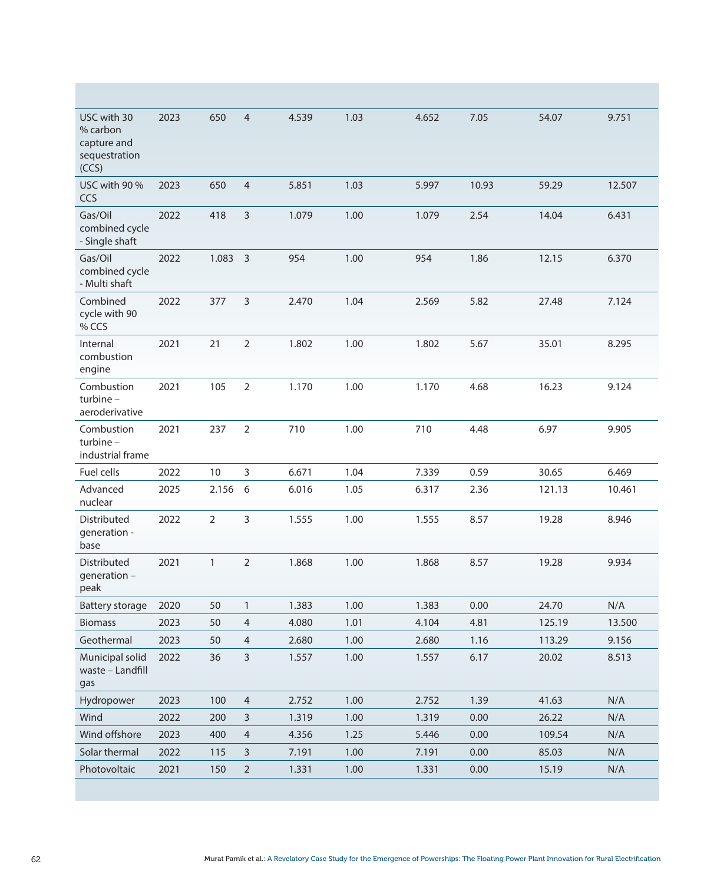| USC with 30<br>% carbon<br>capture and<br>sequestration<br>(CCS) | 2023 | 650            | $\overline{4}$ | 4.539 | 1.03 | 4.652 | 7.05  | 54.07  | 9.751  |
|------------------------------------------------------------------|------|----------------|----------------|-------|------|-------|-------|--------|--------|
| USC with 90 %<br>CCS                                             | 2023 | 650            | $\overline{4}$ | 5.851 | 1.03 | 5.997 | 10.93 | 59.29  | 12.507 |
| Gas/Oil<br>combined cycle<br>- Single shaft                      | 2022 | 418            | 3              | 1.079 | 1.00 | 1.079 | 2.54  | 14.04  | 6.431  |
| Gas/Oil<br>combined cycle<br>- Multi shaft                       | 2022 | 1.083          | $\overline{3}$ | 954   | 1.00 | 954   | 1.86  | 12.15  | 6.370  |
| Combined<br>cycle with 90<br>% CCS                               | 2022 | 377            | 3              | 2.470 | 1.04 | 2.569 | 5.82  | 27.48  | 7.124  |
| Internal<br>combustion<br>engine                                 | 2021 | 21             | 2              | 1.802 | 1.00 | 1.802 | 5.67  | 35.01  | 8.295  |
| Combustion<br>turbine-<br>aeroderivative                         | 2021 | 105            | $\overline{2}$ | 1.170 | 1.00 | 1.170 | 4.68  | 16.23  | 9.124  |
| Combustion<br>turbine -<br>industrial frame                      | 2021 | 237            | 2              | 710   | 1.00 | 710   | 4.48  | 6.97   | 9.905  |
| Fuel cells                                                       | 2022 | 10             | 3              | 6.671 | 1.04 | 7.339 | 0.59  | 30.65  | 6.469  |
| Advanced<br>nuclear                                              | 2025 | 2.156          | 6              | 6.016 | 1.05 | 6.317 | 2.36  | 121.13 | 10.461 |
| Distributed<br>generation -<br>base                              | 2022 | $\overline{2}$ | 3              | 1.555 | 1.00 | 1.555 | 8.57  | 19.28  | 8.946  |
| Distributed<br>generation -<br>peak                              | 2021 | $\mathbf{1}$   | 2              | 1.868 | 1.00 | 1.868 | 8.57  | 19.28  | 9.934  |
| <b>Battery storage</b>                                           | 2020 | 50             | $\mathbf{1}$   | 1.383 | 1.00 | 1.383 | 0.00  | 24.70  | N/A    |
| Biomass                                                          | 2023 | 50             | 4              | 4.080 | 1.01 | 4.104 | 4.81  | 125.19 | 13.500 |
| Geothermal                                                       | 2023 | 50             | 4              | 2.680 | 1.00 | 2.680 | 1.16  | 113.29 | 9.156  |
| Municipal solid<br>waste - Landfill<br>gas                       | 2022 | 36             | $\overline{3}$ | 1.557 | 1.00 | 1.557 | 6.17  | 20.02  | 8.513  |
| Hydropower                                                       | 2023 | 100            | $\overline{4}$ | 2.752 | 1.00 | 2.752 | 1.39  | 41.63  | N/A    |
| Wind                                                             | 2022 | 200            | 3              | 1.319 | 1.00 | 1.319 | 0.00  | 26.22  | N/A    |
| Wind offshore                                                    | 2023 | 400            | $\overline{4}$ | 4.356 | 1.25 | 5.446 | 0.00  | 109.54 | N/A    |
| Solar thermal                                                    | 2022 | 115            | 3              | 7.191 | 1.00 | 7.191 | 0.00  | 85.03  | N/A    |
| Photovoltaic                                                     | 2021 | 150            | $\overline{2}$ | 1.331 | 1.00 | 1.331 | 0.00  | 15.19  | N/A    |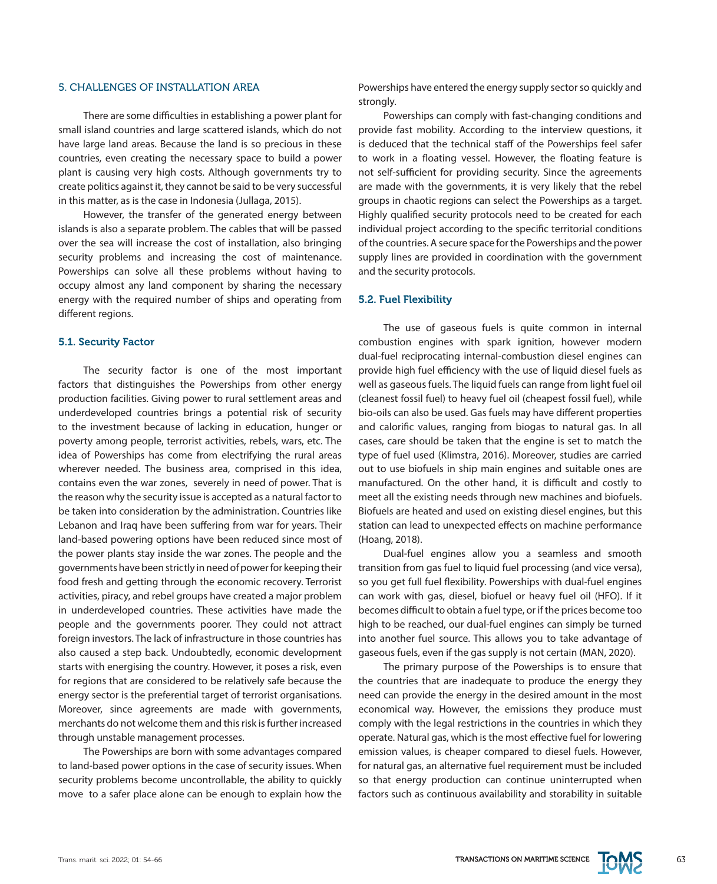#### 5. CHALLENGES OF INSTALLATION AREA

There are some difficulties in establishing a power plant for small island countries and large scattered islands, which do not have large land areas. Because the land is so precious in these countries, even creating the necessary space to build a power plant is causing very high costs. Although governments try to create politics against it, they cannot be said to be very successful in this matter, as is the case in Indonesia (Jullaga, 2015).

However, the transfer of the generated energy between islands is also a separate problem. The cables that will be passed over the sea will increase the cost of installation, also bringing security problems and increasing the cost of maintenance. Powerships can solve all these problems without having to occupy almost any land component by sharing the necessary energy with the required number of ships and operating from different regions.

## 5.1. Security Factor

The security factor is one of the most important factors that distinguishes the Powerships from other energy production facilities. Giving power to rural settlement areas and underdeveloped countries brings a potential risk of security to the investment because of lacking in education, hunger or poverty among people, terrorist activities, rebels, wars, etc. The idea of Powerships has come from electrifying the rural areas wherever needed. The business area, comprised in this idea, contains even the war zones, severely in need of power. That is the reason why the security issue is accepted as a natural factor to be taken into consideration by the administration. Countries like Lebanon and Iraq have been suffering from war for years. Their land-based powering options have been reduced since most of the power plants stay inside the war zones. The people and the governments have been strictly in need of power for keeping their food fresh and getting through the economic recovery. Terrorist activities, piracy, and rebel groups have created a major problem in underdeveloped countries. These activities have made the people and the governments poorer. They could not attract foreign investors. The lack of infrastructure in those countries has also caused a step back. Undoubtedly, economic development starts with energising the country. However, it poses a risk, even for regions that are considered to be relatively safe because the energy sector is the preferential target of terrorist organisations. Moreover, since agreements are made with governments, merchants do not welcome them and this risk is further increased through unstable management processes.

The Powerships are born with some advantages compared to land-based power options in the case of security issues. When security problems become uncontrollable, the ability to quickly move to a safer place alone can be enough to explain how the Powerships have entered the energy supply sector so quickly and strongly.

Powerships can comply with fast-changing conditions and provide fast mobility. According to the interview questions, it is deduced that the technical staff of the Powerships feel safer to work in a floating vessel. However, the floating feature is not self-sufficient for providing security. Since the agreements are made with the governments, it is very likely that the rebel groups in chaotic regions can select the Powerships as a target. Highly qualified security protocols need to be created for each individual project according to the specific territorial conditions of the countries. A secure space for the Powerships and the power supply lines are provided in coordination with the government and the security protocols.

## 5.2. Fuel Flexibility

The use of gaseous fuels is quite common in internal combustion engines with spark ignition, however modern dual-fuel reciprocating internal-combustion diesel engines can provide high fuel efficiency with the use of liquid diesel fuels as well as gaseous fuels. The liquid fuels can range from light fuel oil (cleanest fossil fuel) to heavy fuel oil (cheapest fossil fuel), while bio-oils can also be used. Gas fuels may have different properties and calorific values, ranging from biogas to natural gas. In all cases, care should be taken that the engine is set to match the type of fuel used (Klimstra, 2016). Moreover, studies are carried out to use biofuels in ship main engines and suitable ones are manufactured. On the other hand, it is difficult and costly to meet all the existing needs through new machines and biofuels. Biofuels are heated and used on existing diesel engines, but this station can lead to unexpected effects on machine performance (Hoang, 2018).

Dual-fuel engines allow you a seamless and smooth transition from gas fuel to liquid fuel processing (and vice versa), so you get full fuel flexibility. Powerships with dual-fuel engines can work with gas, diesel, biofuel or heavy fuel oil (HFO). If it becomes difficult to obtain a fuel type, or if the prices become too high to be reached, our dual-fuel engines can simply be turned into another fuel source. This allows you to take advantage of gaseous fuels, even if the gas supply is not certain (MAN, 2020).

The primary purpose of the Powerships is to ensure that the countries that are inadequate to produce the energy they need can provide the energy in the desired amount in the most economical way. However, the emissions they produce must comply with the legal restrictions in the countries in which they operate. Natural gas, which is the most effective fuel for lowering emission values, is cheaper compared to diesel fuels. However, for natural gas, an alternative fuel requirement must be included so that energy production can continue uninterrupted when factors such as continuous availability and storability in suitable

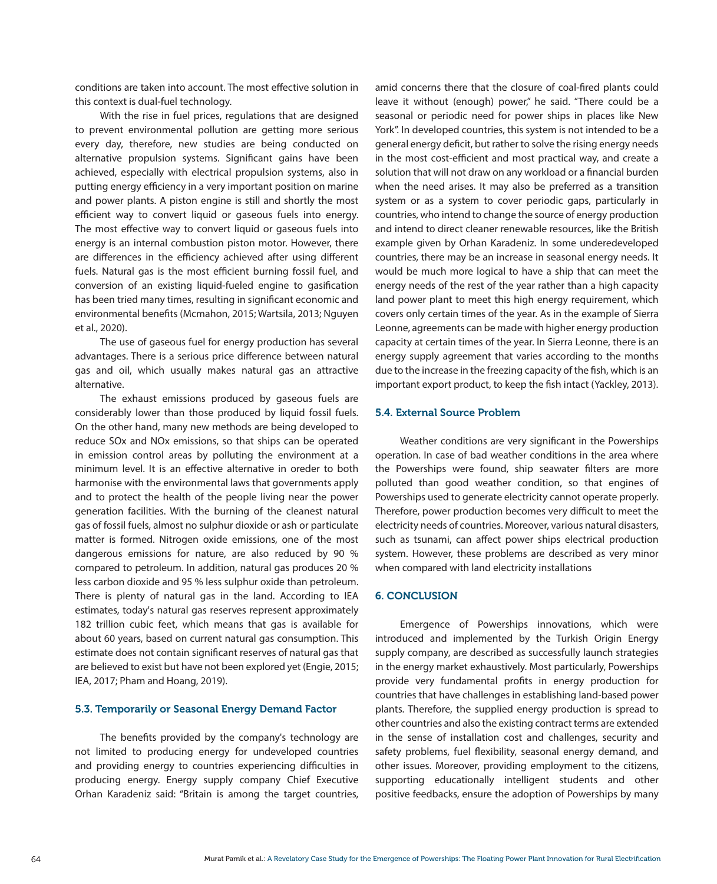conditions are taken into account. The most effective solution in this context is dual-fuel technology.

With the rise in fuel prices, regulations that are designed to prevent environmental pollution are getting more serious every day, therefore, new studies are being conducted on alternative propulsion systems. Significant gains have been achieved, especially with electrical propulsion systems, also in putting energy efficiency in a very important position on marine and power plants. A piston engine is still and shortly the most efficient way to convert liquid or gaseous fuels into energy. The most effective way to convert liquid or gaseous fuels into energy is an internal combustion piston motor. However, there are differences in the efficiency achieved after using different fuels. Natural gas is the most efficient burning fossil fuel, and conversion of an existing liquid-fueled engine to gasification has been tried many times, resulting in significant economic and environmental benefits (Mcmahon, 2015; Wartsila, 2013; Nguyen et al., 2020).

The use of gaseous fuel for energy production has several advantages. There is a serious price difference between natural gas and oil, which usually makes natural gas an attractive alternative.

The exhaust emissions produced by gaseous fuels are considerably lower than those produced by liquid fossil fuels. On the other hand, many new methods are being developed to reduce SOx and NOx emissions, so that ships can be operated in emission control areas by polluting the environment at a minimum level. It is an effective alternative in oreder to both harmonise with the environmental laws that governments apply and to protect the health of the people living near the power generation facilities. With the burning of the cleanest natural gas of fossil fuels, almost no sulphur dioxide or ash or particulate matter is formed. Nitrogen oxide emissions, one of the most dangerous emissions for nature, are also reduced by 90 % compared to petroleum. In addition, natural gas produces 20 % less carbon dioxide and 95 % less sulphur oxide than petroleum. There is plenty of natural gas in the land. According to IEA estimates, today's natural gas reserves represent approximately 182 trillion cubic feet, which means that gas is available for about 60 years, based on current natural gas consumption. This estimate does not contain significant reserves of natural gas that are believed to exist but have not been explored yet (Engie, 2015; IEA, 2017; Pham and Hoang, 2019).

#### 5.3. Temporarily or Seasonal Energy Demand Factor

The benefits provided by the company's technology are not limited to producing energy for undeveloped countries and providing energy to countries experiencing difficulties in producing energy. Energy supply company Chief Executive Orhan Karadeniz said: "Britain is among the target countries,

amid concerns there that the closure of coal-fired plants could leave it without (enough) power," he said. "There could be a seasonal or periodic need for power ships in places like New York". In developed countries, this system is not intended to be a general energy deficit, but rather to solve the rising energy needs in the most cost-efficient and most practical way, and create a solution that will not draw on any workload or a financial burden when the need arises. It may also be preferred as a transition system or as a system to cover periodic gaps, particularly in countries, who intend to change the source of energy production and intend to direct cleaner renewable resources, like the British example given by Orhan Karadeniz. In some underedeveloped countries, there may be an increase in seasonal energy needs. It would be much more logical to have a ship that can meet the energy needs of the rest of the year rather than a high capacity land power plant to meet this high energy requirement, which covers only certain times of the year. As in the example of Sierra Leonne, agreements can be made with higher energy production capacity at certain times of the year. In Sierra Leonne, there is an energy supply agreement that varies according to the months due to the increase in the freezing capacity of the fish, which is an important export product, to keep the fish intact (Yackley, 2013).

#### 5.4. External Source Problem

Weather conditions are very significant in the Powerships operation. In case of bad weather conditions in the area where the Powerships were found, ship seawater filters are more polluted than good weather condition, so that engines of Powerships used to generate electricity cannot operate properly. Therefore, power production becomes very difficult to meet the electricity needs of countries. Moreover, various natural disasters, such as tsunami, can affect power ships electrical production system. However, these problems are described as very minor when compared with land electricity installations

#### 6. CONCLUSION

Emergence of Powerships innovations, which were introduced and implemented by the Turkish Origin Energy supply company, are described as successfully launch strategies in the energy market exhaustively. Most particularly, Powerships provide very fundamental profits in energy production for countries that have challenges in establishing land-based power plants. Therefore, the supplied energy production is spread to other countries and also the existing contract terms are extended in the sense of installation cost and challenges, security and safety problems, fuel flexibility, seasonal energy demand, and other issues. Moreover, providing employment to the citizens, supporting educationally intelligent students and other positive feedbacks, ensure the adoption of Powerships by many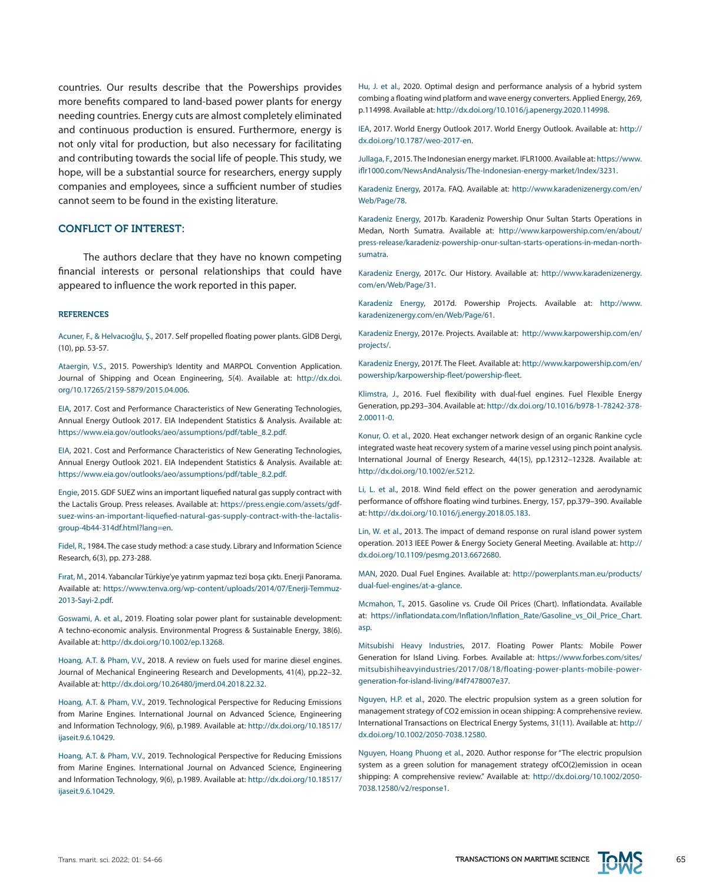countries. Our results describe that the Powerships provides more benefits compared to land-based power plants for energy needing countries. Energy cuts are almost completely eliminated and continuous production is ensured. Furthermore, energy is not only vital for production, but also necessary for facilitating and contributing towards the social life of people. This study, we hope, will be a substantial source for researchers, energy supply companies and employees, since a sufficient number of studies cannot seem to be found in the existing literature.

#### CONFLICT OF INTEREST:

The authors declare that they have no known competing financial interests or personal relationships that could have appeared to influence the work reported in this paper.

#### **REFERENCES**

Acuner, F., & Helvacıoğlu, Ş., 2017. Self propelled floating power plants. GİDB Dergi, (10), pp. 53-57.

Ataergin, V.S., 2015. Powership's Identity and MARPOL Convention Application. Journal of Shipping and Ocean Engineering, 5(4). Available at: [http://dx.doi.](http://dx.doi.org/10.17265/2159-5879/2015.04.006) [org/10.17265/2159-5879/2015.04.006](http://dx.doi.org/10.17265/2159-5879/2015.04.006).

EIA, 2017. Cost and Performance Characteristics of New Generating Technologies, Annual Energy Outlook 2017. EIA Independent Statistics & Analysis. Available at: [https://www.eia.gov/outlooks/aeo/assumptions/pdf/table\\_8.2.pdf](https://www.eia.gov/outlooks/aeo/assumptions/pdf/table_8.2.pdf).

EIA, 2021. Cost and Performance Characteristics of New Generating Technologies, Annual Energy Outlook 2021. EIA Independent Statistics & Analysis. Available at: [https://www.eia.gov/outlooks/aeo/assumptions/pdf/table\\_8.2.pdf](https://www.eia.gov/outlooks/aeo/assumptions/pdf/table_8.2.pdf).

Engie, 2015. GDF SUEZ wins an important liquefied natural gas supply contract with the Lactalis Group. Press releases. Available at: [https://press.engie.com/assets/gdf](https://press.engie.com/assets/gdf-suez-wins-an-important-liquefied-natural-gas-supply-contract-with)[suez-wins-an-important-liquefied-natural-gas-supply-contract-with-the-lactalis](https://press.engie.com/assets/gdf-suez-wins-an-important-liquefied-natural-gas-supply-contract-with)[group-4b44-314df.html?lang=en](https://press.engie.com/assets/gdf-suez-wins-an-important-liquefied-natural-gas-supply-contract-with).

Fidel, R., 1984. The case study method: a case study. Library and Information Science Research, 6(3), pp. 273-288.

Fırat, M., 2014. Yabancılar Türkiye'ye yatırım yapmaz tezi boşa çıktı. Enerji Panorama. Available at: [https://www.tenva.org/wp-content/uploads/2014/07/Enerji-Temmuz-](https://www.tenva.org/wp-content/uploads/2014/07/Enerji-Temmuz-2013-Sayi-2.pdf)[2013-Sayi-2.pdf.](https://www.tenva.org/wp-content/uploads/2014/07/Enerji-Temmuz-2013-Sayi-2.pdf)

Goswami, A. et al., 2019. Floating solar power plant for sustainable development: A techno‐economic analysis. Environmental Progress & Sustainable Energy, 38(6). Available at:<http://dx.doi.org/10.1002/ep.13268>.

Hoang, A.T. & Pham, V.V., 2018. A review on fuels used for marine diesel engines. Journal of Mechanical Engineering Research and Developments, 41(4), pp.22–32. Available at: [http://dx.doi.org/10.26480/jmerd.04.2018.22.32.](http://dx.doi.org/10.26480/jmerd.04.2018.22.32)

Hoang, A.T. & Pham, V.V., 2019. Technological Perspective for Reducing Emissions from Marine Engines. International Journal on Advanced Science, Engineering and Information Technology, 9(6), p.1989. Available at: [http://dx.doi.org/10.18517/](http://dx.doi.org/10.18517/ijaseit.9.6.10429) [ijaseit.9.6.10429](http://dx.doi.org/10.18517/ijaseit.9.6.10429).

Hoang, A.T. & Pham, V.V., 2019. Technological Perspective for Reducing Emissions from Marine Engines. International Journal on Advanced Science, Engineering and Information Technology, 9(6), p.1989. Available at: [http://dx.doi.org/10.18517/](http://dx.doi.org/10.18517/ijaseit.9.6.10429) [ijaseit.9.6.10429](http://dx.doi.org/10.18517/ijaseit.9.6.10429).

Hu, J. et al., 2020. Optimal design and performance analysis of a hybrid system combing a floating wind platform and wave energy converters. Applied Energy, 269, p.114998. Available at: [http://dx.doi.org/10.1016/j.apenergy.2020.114998.](http://dx.doi.org/10.1016/j.apenergy.2020.114998)

IEA, 2017. World Energy Outlook 2017. World Energy Outlook. Available at: [http://](http://dx.doi.org/10.1787/weo-2017-en) [dx.doi.org/10.1787/weo-2017-en.](http://dx.doi.org/10.1787/weo-2017-en)

Jullaga, F., 2015. The Indonesian energy market. IFLR1000. Available at: [https://www.](https://www.iflr1000.com/NewsAndAnalysis/The-Indonesian-energy-market/Index/3231) [iflr1000.com/NewsAndAnalysis/The-Indonesian-energy-market/Index/3231.](https://www.iflr1000.com/NewsAndAnalysis/The-Indonesian-energy-market/Index/3231)

Karadeniz Energy, 2017a. FAQ. Available at: [http://www.karadenizenergy.com/en/](http://www.karadenizenergy.com/en/Web/Page/78) [Web/Page/78](http://www.karadenizenergy.com/en/Web/Page/78).

Karadeniz Energy, 2017b. Karadeniz Powership Onur Sultan Starts Operations in Medan, North Sumatra. Available at: [http://www.karpowership.com/en/about/](http://www.karpowership.com/en/about/press-release/karadeniz-powership-onur-sultan-starts-operations) [press-release/karadeniz-powership-onur-sultan-starts-operations-in-medan-north](http://www.karpowership.com/en/about/press-release/karadeniz-powership-onur-sultan-starts-operations)[sumatra](http://www.karpowership.com/en/about/press-release/karadeniz-powership-onur-sultan-starts-operations).

Karadeniz Energy, 2017c. Our History. Available at: [http://www.karadenizenergy.](http://www.karadenizenergy.com/en/Web/Page/31) [com/en/Web/Page/31](http://www.karadenizenergy.com/en/Web/Page/31).

Karadeniz Energy, 2017d. Powership Projects. Available at: [http://www.](http://www.karadenizenergy.com/en/Web/Page/61) [karadenizenergy.com/en/Web/Page/61](http://www.karadenizenergy.com/en/Web/Page/61).

Karadeniz Energy, 2017e. Projects. Available at: [http://www.karpowership.com/en/](http://www.karpowership.com/en/projects/) [projects/.](http://www.karpowership.com/en/projects/)

Karadeniz Energy, 2017f. The Fleet. Available at: [http://www.karpowership.com/en/](http://www.karpowership.com/en/powership/karpowership-fleet/powership-fleet) [powership/karpowership-fleet/powership-fleet.](http://www.karpowership.com/en/powership/karpowership-fleet/powership-fleet)

Klimstra, J., 2016. Fuel flexibility with dual-fuel engines. Fuel Flexible Energy Generation, pp.293–304. Available at: [http://dx.doi.org/10.1016/b978-1-78242-378-](http://dx.doi.org/10.1016/b978-1-78242-378-2.00011-0) [2.00011-0](http://dx.doi.org/10.1016/b978-1-78242-378-2.00011-0).

Konur, O. et al., 2020. Heat exchanger network design of an organic Rankine cycle integrated waste heat recovery system of a marine vessel using pinch point analysis. International Journal of Energy Research, 44(15), pp.12312–12328. Available at: [http://dx.doi.org/10.1002/er.5212.](http://dx.doi.org/10.1002/er.5212)

Li, L. et al., 2018. Wind field effect on the power generation and aerodynamic performance of offshore floating wind turbines. Energy, 157, pp.379–390. Available at:<http://dx.doi.org/10.1016/j.energy.2018.05.183>.

Lin, W. et al., 2013. The impact of demand response on rural island power system operation. 2013 IEEE Power & Energy Society General Meeting. Available at: [http://](http://dx.doi.org/10.1109/pesmg.2013.6672680) [dx.doi.org/10.1109/pesmg.2013.6672680](http://dx.doi.org/10.1109/pesmg.2013.6672680).

MAN, 2020. Dual Fuel Engines. Available at: [http://powerplants.man.eu/products/](http://powerplants.man.eu/products/dual-fuel-engines/at-a-glance) [dual-fuel-engines/at-a-glance](http://powerplants.man.eu/products/dual-fuel-engines/at-a-glance).

Mcmahon, T., 2015. Gasoline vs. Crude Oil Prices (Chart). Inflationdata. Available at: [https://inflationdata.com/Inflation/Inflation\\_Rate/Gasoline\\_vs\\_Oil\\_Price\\_Chart.](https://inflationdata.com/Inflation/Inflation_Rate/Gasoline_vs_Oil_Price_Chart.asp) [asp.](https://inflationdata.com/Inflation/Inflation_Rate/Gasoline_vs_Oil_Price_Chart.asp)

Mitsubishi Heavy Industries, 2017. Floating Power Plants: Mobile Power Generation for Island Living. Forbes. Available at: [https://www.forbes.com/sites/](https://www.forbes.com/sites/mitsubishiheavyindustries/2017/08/18/floating-power-plants-mobile-power) [mitsubishiheavyindustries/2017/08/18/floating-power-plants-mobile-power](https://www.forbes.com/sites/mitsubishiheavyindustries/2017/08/18/floating-power-plants-mobile-power)[generation-for-island-living/#4f7478007e37](https://www.forbes.com/sites/mitsubishiheavyindustries/2017/08/18/floating-power-plants-mobile-power).

Nguyen, H.P. et al., 2020. The electric propulsion system as a green solution for management strategy of CO2 emission in ocean shipping: A comprehensive review. International Transactions on Electrical Energy Systems, 31(11). Available at: [http://](http://dx.doi.org/10.1002/2050-7038.12580) [dx.doi.org/10.1002/2050-7038.12580](http://dx.doi.org/10.1002/2050-7038.12580).

Nguyen, Hoang Phuong et al., 2020. Author response for "The electric propulsion system as a green solution for management strategy ofCO(2)emission in ocean shipping: A comprehensive review." Available at: [http://dx.doi.org/10.1002/2050-](http://dx.doi.org/10.1002/2050-7038.12580/v2/response1) [7038.12580/v2/response1](http://dx.doi.org/10.1002/2050-7038.12580/v2/response1).